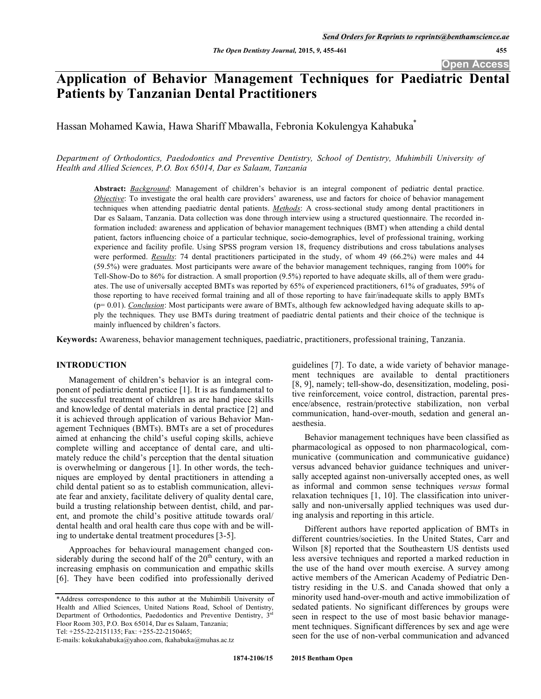**Open Access** 

# **Application of Behavior Management Techniques for Paediatric Dental Patients by Tanzanian Dental Practitioners**

Hassan Mohamed Kawia, Hawa Shariff Mbawalla, Febronia Kokulengya Kahabuka\*

*Department of Orthodontics, Paedodontics and Preventive Dentistry, School of Dentistry, Muhimbili University of Health and Allied Sciences, P.O. Box 65014, Dar es Salaam, Tanzania*

**Abstract:** *Background*: Management of children's behavior is an integral component of pediatric dental practice. *Objective*: To investigate the oral health care providers' awareness, use and factors for choice of behavior management techniques when attending paediatric dental patients. *Methods*: A cross-sectional study among dental practitioners in Dar es Salaam, Tanzania. Data collection was done through interview using a structured questionnaire. The recorded information included: awareness and application of behavior management techniques (BMT) when attending a child dental patient, factors influencing choice of a particular technique, socio-demographics, level of professional training, working experience and facility profile. Using SPSS program version 18, frequency distributions and cross tabulations analyses were performed. *Results*: 74 dental practitioners participated in the study, of whom 49 (66.2%) were males and 44 (59.5%) were graduates. Most participants were aware of the behavior management techniques, ranging from 100% for Tell-Show-Do to 86% for distraction. A small proportion (9.5%) reported to have adequate skills, all of them were graduates. The use of universally accepted BMTs was reported by 65% of experienced practitioners, 61% of graduates, 59% of those reporting to have received formal training and all of those reporting to have fair/inadequate skills to apply BMTs (p= 0.01). *Conclusion*: Most participants were aware of BMTs, although few acknowledged having adequate skills to apply the techniques. They use BMTs during treatment of paediatric dental patients and their choice of the technique is mainly influenced by children's factors.

**Keywords:** Awareness, behavior management techniques, paediatric, practitioners, professional training, Tanzania.

#### **INTRODUCTION**

Management of children's behavior is an integral component of pediatric dental practice [1]. It is as fundamental to the successful treatment of children as are hand piece skills and knowledge of dental materials in dental practice [2] and it is achieved through application of various Behavior Management Techniques (BMTs). BMTs are a set of procedures aimed at enhancing the child's useful coping skills, achieve complete willing and acceptance of dental care, and ultimately reduce the child's perception that the dental situation is overwhelming or dangerous [1]. In other words, the techniques are employed by dental practitioners in attending a child dental patient so as to establish communication, alleviate fear and anxiety, facilitate delivery of quality dental care, build a trusting relationship between dentist, child, and parent, and promote the child's positive attitude towards oral/ dental health and oral health care thus cope with and be willing to undertake dental treatment procedures [3-5].

Approaches for behavioural management changed considerably during the second half of the  $20<sup>th</sup>$  century, with an increasing emphasis on communication and empathic skills [6]. They have been codified into professionally derived

Tel: +255-22-2151135; Fax: +255-22-2150465;

guidelines [7]. To date, a wide variety of behavior management techniques are available to dental practitioners [8, 9], namely; tell-show-do, desensitization, modeling, positive reinforcement, voice control, distraction, parental presence/absence, restrain/protective stabilization, non verbal communication, hand-over-mouth, sedation and general anaesthesia.

Behavior management techniques have been classified as pharmacological as opposed to non pharmacological, communicative (communication and communicative guidance) versus advanced behavior guidance techniques and universally accepted against non-universally accepted ones, as well as informal and common sense techniques *versus* formal relaxation techniques [1, 10]. The classification into universally and non-universally applied techniques was used during analysis and reporting in this article.

Different authors have reported application of BMTs in different countries/societies. In the United States, Carr and Wilson [8] reported that the Southeastern US dentists used less aversive techniques and reported a marked reduction in the use of the hand over mouth exercise. A survey among active members of the American Academy of Pediatric Dentistry residing in the U.S. and Canada showed that only a minority used hand-over-mouth and active immobilization of sedated patients. No significant differences by groups were seen in respect to the use of most basic behavior management techniques. Significant differences by sex and age were seen for the use of non-verbal communication and advanced

<sup>\*</sup>Address correspondence to this author at the Muhimbili University of Health and Allied Sciences, United Nations Road, School of Dentistry, Department of Orthodontics, Paedodontics and Preventive Dentistry,  $3<sup>rd</sup>$ Floor Room 303, P.O. Box 65014, Dar es Salaam, Tanzania;

E-mails: kokukahabuka@yahoo.com, fkahabuka@muhas.ac.tz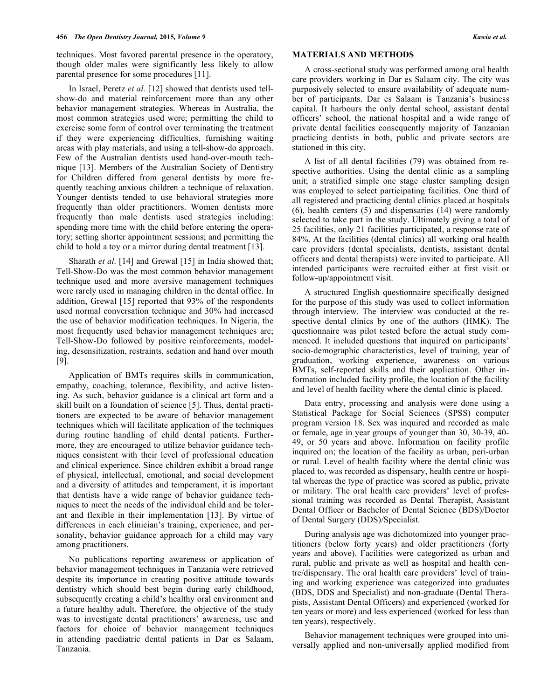techniques. Most favored parental presence in the operatory, though older males were significantly less likely to allow parental presence for some procedures [11].

In Israel, Peretz *et al.* [12] showed that dentists used tellshow-do and material reinforcement more than any other behavior management strategies. Whereas in Australia, the most common strategies used were; permitting the child to exercise some form of control over terminating the treatment if they were experiencing difficulties, furnishing waiting areas with play materials, and using a tell-show-do approach. Few of the Australian dentists used hand-over-mouth technique [13]. Members of the Australian Society of Dentistry for Children differed from general dentists by more frequently teaching anxious children a technique of relaxation. Younger dentists tended to use behavioral strategies more frequently than older practitioners. Women dentists more frequently than male dentists used strategies including: spending more time with the child before entering the operatory; setting shorter appointment sessions; and permitting the child to hold a toy or a mirror during dental treatment [13].

Sharath *et al.* [14] and Grewal [15] in India showed that; Tell-Show-Do was the most common behavior management technique used and more aversive management techniques were rarely used in managing children in the dental office. In addition, Grewal [15] reported that 93% of the respondents used normal conversation technique and 30% had increased the use of behavior modification techniques. In Nigeria, the most frequently used behavior management techniques are; Tell-Show-Do followed by positive reinforcements, modeling, desensitization, restraints, sedation and hand over mouth [9].

Application of BMTs requires skills in communication, empathy, coaching, tolerance, flexibility, and active listening. As such, behavior guidance is a clinical art form and a skill built on a foundation of science [5]. Thus, dental practitioners are expected to be aware of behavior management techniques which will facilitate application of the techniques during routine handling of child dental patients. Furthermore, they are encouraged to utilize behavior guidance techniques consistent with their level of professional education and clinical experience. Since children exhibit a broad range of physical, intellectual, emotional, and social development and a diversity of attitudes and temperament, it is important that dentists have a wide range of behavior guidance techniques to meet the needs of the individual child and be tolerant and flexible in their implementation [13]. By virtue of differences in each clinician's training, experience, and personality, behavior guidance approach for a child may vary among practitioners.

No publications reporting awareness or application of behavior management techniques in Tanzania were retrieved despite its importance in creating positive attitude towards dentistry which should best begin during early childhood, subsequently creating a child's healthy oral environment and a future healthy adult. Therefore, the objective of the study was to investigate dental practitioners' awareness, use and factors for choice of behavior management techniques in attending paediatric dental patients in Dar es Salaam, Tanzania.

A cross-sectional study was performed among oral health care providers working in Dar es Salaam city. The city was purposively selected to ensure availability of adequate number of participants. Dar es Salaam is Tanzania's business capital. It harbours the only dental school, assistant dental officers' school, the national hospital and a wide range of private dental facilities consequently majority of Tanzanian practicing dentists in both, public and private sectors are stationed in this city.

A list of all dental facilities (79) was obtained from respective authorities. Using the dental clinic as a sampling unit; a stratified simple one stage cluster sampling design was employed to select participating facilities. One third of all registered and practicing dental clinics placed at hospitals (6), health centers (5) and dispensaries (14) were randomly selected to take part in the study. Ultimately giving a total of 25 facilities, only 21 facilities participated, a response rate of 84%. At the facilities (dental clinics) all working oral health care providers (dental specialists, dentists, assistant dental officers and dental therapists) were invited to participate. All intended participants were recruited either at first visit or follow-up/appointment visit.

A structured English questionnaire specifically designed for the purpose of this study was used to collect information through interview. The interview was conducted at the respective dental clinics by one of the authors (HMK). The questionnaire was pilot tested before the actual study commenced. It included questions that inquired on participants' socio-demographic characteristics, level of training, year of graduation, working experience, awareness on various BMTs, self-reported skills and their application. Other information included facility profile, the location of the facility and level of health facility where the dental clinic is placed.

Data entry, processing and analysis were done using a Statistical Package for Social Sciences (SPSS) computer program version 18. Sex was inquired and recorded as male or female, age in year groups of younger than 30, 30-39, 40- 49, or 50 years and above. Information on facility profile inquired on; the location of the facility as urban, peri-urban or rural. Level of health facility where the dental clinic was placed to, was recorded as dispensary, health centre or hospital whereas the type of practice was scored as public, private or military. The oral health care providers' level of professional training was recorded as Dental Therapist, Assistant Dental Officer or Bachelor of Dental Science (BDS)/Doctor of Dental Surgery (DDS)/Specialist.

During analysis age was dichotomized into younger practitioners (below forty years) and older practitioners (forty years and above). Facilities were categorized as urban and rural, public and private as well as hospital and health centre/dispensary. The oral health care providers' level of training and working experience was categorized into graduates (BDS, DDS and Specialist) and non-graduate (Dental Therapists, Assistant Dental Officers) and experienced (worked for ten years or more) and less experienced (worked for less than ten years), respectively.

Behavior management techniques were grouped into universally applied and non-universally applied modified from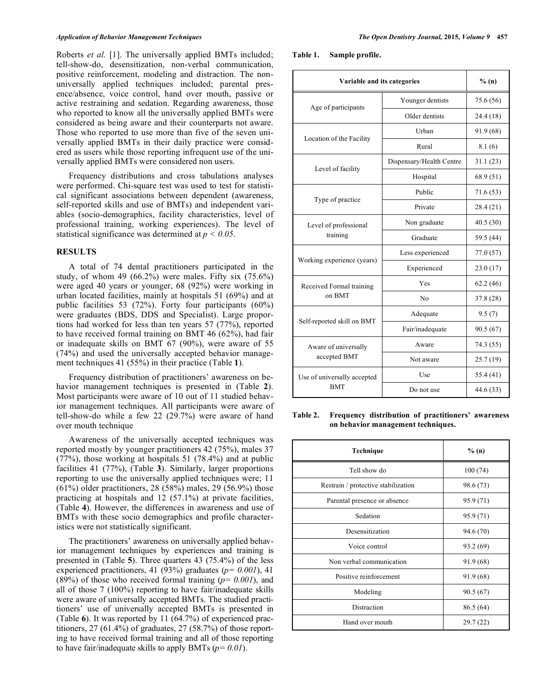#### *Application of Behavior Management Techniques The Open Dentistry Journal,* **2015***, Volume 9* **457**

Roberts *et al.* [1]. The universally applied BMTs included; tell-show-do, desensitization, non-verbal communication, positive reinforcement, modeling and distraction. The nonuniversally applied techniques included; parental presence/absence, voice control, hand over mouth, passive or active restraining and sedation. Regarding awareness, those who reported to know all the universally applied BMTs were considered as being aware and their counterparts not aware. Those who reported to use more than five of the seven universally applied BMTs in their daily practice were considered as users while those reporting infrequent use of the universally applied BMTs were considered non users.

Frequency distributions and cross tabulations analyses were performed. Chi-square test was used to test for statistical significant associations between dependent (awareness, self-reported skills and use of BMTs) and independent variables (socio-demographics, facility characteristics, level of professional training, working experiences). The level of statistical significance was determined at *p < 0.05*.

## **RESULTS**

A total of 74 dental practitioners participated in the study, of whom 49 (66.2%) were males. Fifty six  $(75.6\%)$ were aged 40 years or younger, 68 (92%) were working in urban located facilities, mainly at hospitals 51 (69%) and at public facilities 53 (72%). Forty four participants (60%) were graduates (BDS, DDS and Specialist). Large proportions had worked for less than ten years 57 (77%), reported to have received formal training on BMT 46 (62%), had fair or inadequate skills on BMT 67 (90%), were aware of 55 (74%) and used the universally accepted behavior management techniques 41 (55%) in their practice (Table **1**).

Frequency distribution of practitioners' awareness on behavior management techniques is presented in (Table **2**). Most participants were aware of 10 out of 11 studied behavior management techniques. All participants were aware of tell-show-do while a few 22 (29.7%) were aware of hand over mouth technique

Awareness of the universally accepted techniques was reported mostly by younger practitioners 42 (75%), males 37 (77%), those working at hospitals 51 (78.4%) and at public facilities 41 (77%), (Table **3**). Similarly, larger proportions reporting to use the universally applied techniques were; 11 (61%) older practitioners, 28 (58%) males, 29 (56.9%) those practicing at hospitals and 12 (57.1%) at private facilities, (Table **4**). However, the differences in awareness and use of BMTs with these socio demographics and profile characteristics were not statistically significant.

The practitioners' awareness on universally applied behavior management techniques by experiences and training is presented in (Table **5**). Three quarters 43 (75.4%) of the less experienced practitioners, 41 (93%) graduates (*p= 0.001*), 41 (89%) of those who received formal training (*p= 0.001*), and all of those 7 (100%) reporting to have fair/inadequate skills were aware of universally accepted BMTs. The studied practitioners' use of universally accepted BMTs is presented in (Table **6**). It was reported by 11 (64.7%) of experienced practitioners, 27 (61.4%) of graduates, 27 (58.7%) of those reporting to have received formal training and all of those reporting to have fair/inadequate skills to apply BMTs (*p= 0.01*).

**Table 1. Sample profile.** 

| Variable and its categories |                          | % (n)     |
|-----------------------------|--------------------------|-----------|
| Age of participants         | Younger dentists         | 75.6 (56) |
|                             | Older dentists           | 24.4 (18) |
| Location of the Facility    | Urban                    | 91.9 (68) |
|                             | Rural                    | 8.1(6)    |
| Level of facility           | Dispensary/Health Centre | 31.1(23)  |
|                             | Hospital                 | 68.9 (51) |
|                             | Public                   | 71.6 (53) |
| Type of practice            | Private                  | 28.4 (21) |
| Level of professional       | Non graduate             | 40.5(30)  |
| training                    | Graduate                 | 59.5 (44) |
|                             | Less experienced         | 77.0(57)  |
| Working experience (years)  | Experienced              | 23.0(17)  |
| Received Formal training    | Yes                      | 62.2(46)  |
| on BMT                      | N <sub>0</sub>           | 37.8 (28) |
|                             | Adequate                 | 9.5(7)    |
| Self-reported skill on BMT  | Fair/inadequate          | 90.5(67)  |
| Aware of universally        | Aware                    | 74.3 (55) |
| accepted BMT                | Not aware                | 25.7(19)  |
| Use of universally accepted | Use                      | 55.4 (41) |
| <b>BMT</b>                  | Do not use               | 44.6 (33) |

**Table 2. Frequency distribution of practitioners' awareness on behavior management techniques.**

| Technique                           | % (n)     |
|-------------------------------------|-----------|
| Tell show do                        | 100(74)   |
| Restrain / protective stabilization | 98.6 (73) |
| Parental presence or absence        | 95.9 (71) |
| Sedation                            | 95.9 (71) |
| Desensitization                     | 94.6 (70) |
| Voice control                       | 93.2 (69) |
| Non verbal communication            | 91.9 (68) |
| Positive reinforcement              | 91.9 (68) |
| Modeling                            | 90.5(67)  |
| Distraction                         | 86.5 (64) |
| Hand over mouth                     | 29.7 (22) |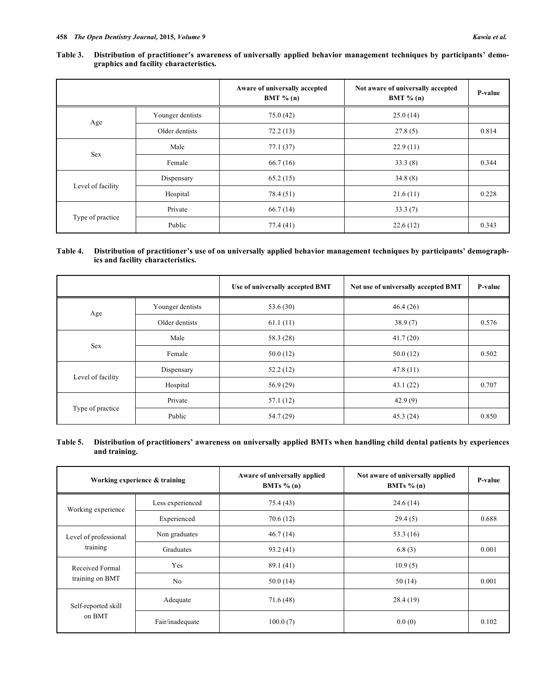#### **Table 3. Distribution of practitioner's awareness of universally applied behavior management techniques by participants' demographics and facility characteristics.**

|                   |                  | Aware of universally accepted<br>BMT $% (n)$ | Not aware of universally accepted<br>BMT $% (n)$ | P-value |
|-------------------|------------------|----------------------------------------------|--------------------------------------------------|---------|
| Age               | Younger dentists | 75.0(42)                                     | 25.0(14)                                         |         |
|                   | Older dentists   | 72.2(13)                                     | 27.8(5)                                          | 0.814   |
| <b>Sex</b>        | Male             | 77.1(37)                                     | 22.9(11)                                         |         |
|                   | Female           | 66.7(16)                                     | 33.3(8)                                          | 0.344   |
|                   | Dispensary       | 65.2(15)                                     | 34.8(8)                                          |         |
| Level of facility | Hospital         | 78.4 (51)                                    | 21.6(11)                                         | 0.228   |
| Type of practice  | Private          | 66.7(14)                                     | 33.3(7)                                          |         |
|                   | Public           | 77.4 (41)                                    | 22.6(12)                                         | 0.343   |

## **Table 4. Distribution of practitioner's use of on universally applied behavior management techniques by participants' demographics and facility characteristics.**

|                   |                  | Use of universally accepted BMT | Not use of universally accepted BMT | <b>P-value</b> |
|-------------------|------------------|---------------------------------|-------------------------------------|----------------|
| Age               | Younger dentists | 53.6 (30)                       | 46.4(26)                            |                |
|                   | Older dentists   | 61.1(11)                        | 38.9(7)                             | 0.576          |
| <b>Sex</b>        | Male             | 58.3 (28)                       | 41.7(20)                            |                |
|                   | Female           | 50.0(12)                        | 50.0(12)                            | 0.502          |
| Level of facility | Dispensary       | 52.2(12)                        | 47.8(11)                            |                |
|                   | Hospital         | 56.9(29)                        | 43.1(22)                            | 0.707          |
| Type of practice  | Private          | 57.1(12)                        | 42.9(9)                             |                |
|                   | Public           | 54.7(29)                        | 45.3(24)                            | 0.850          |

## **Table 5. Distribution of practitioners' awareness on universally applied BMTs when handling child dental patients by experiences and training.**

| Working experience & training      |                 | Aware of universally applied<br>BMTs $% (n)$ | Not aware of universally applied<br>BMTs $% (n)$ | P-value |
|------------------------------------|-----------------|----------------------------------------------|--------------------------------------------------|---------|
| Less experienced                   |                 | 75.4 (43)                                    | 24.6(14)                                         |         |
| Working experience                 | Experienced     | 70.6(12)                                     | 29.4(5)                                          | 0.688   |
| Level of professional              | Non graduates   | 46.7(14)                                     | 53.3 (16)                                        |         |
| training                           | Graduates       | 93.2(41)                                     | 6.8(3)                                           | 0.001   |
| Received Formal<br>training on BMT | Yes             | 89.1(41)                                     | 10.9(5)                                          |         |
|                                    | No              | 50.0(14)                                     | 50(14)                                           | 0.001   |
| Self-reported skill<br>on BMT      | Adequate        | 71.6(48)                                     | 28.4(19)                                         |         |
|                                    | Fair/inadequate | 100.0(7)                                     | 0.0(0)                                           | 0.102   |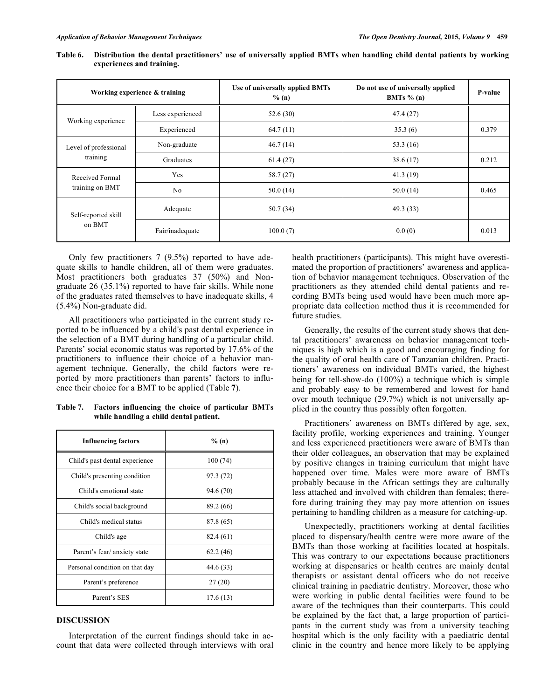| Working experience & training      |                  | Use of universally applied BMTs<br>$%$ (n) | Do not use of universally applied<br>BMTs $% (n)$ | <b>P-value</b> |
|------------------------------------|------------------|--------------------------------------------|---------------------------------------------------|----------------|
| Working experience                 | Less experienced | 52.6(30)                                   | 47.4(27)                                          |                |
|                                    | Experienced      | 64.7(11)                                   | 35.3(6)                                           | 0.379          |
| Level of professional              | Non-graduate     | 46.7(14)                                   | 53.3 $(16)$                                       |                |
| training                           | Graduates        | 61.4(27)                                   | 38.6(17)                                          | 0.212          |
| Received Formal<br>training on BMT | Yes              | 58.7(27)                                   | 41.3(19)                                          |                |
|                                    | N <sub>0</sub>   | 50.0(14)                                   | 50.0(14)                                          | 0.465          |
| Self-reported skill<br>on BMT      | Adequate         | 50.7(34)                                   | 49.3 (33)                                         |                |
|                                    | Fair/inadequate  | 100.0(7)                                   | 0.0(0)                                            | 0.013          |

**Table 6. Distribution the dental practitioners' use of universally applied BMTs when handling child dental patients by working experiences and training.** 

Only few practitioners 7 (9.5%) reported to have adequate skills to handle children, all of them were graduates. Most practitioners both graduates 37 (50%) and Nongraduate 26 (35.1%) reported to have fair skills. While none of the graduates rated themselves to have inadequate skills, 4 (5.4%) Non-graduate did.

All practitioners who participated in the current study reported to be influenced by a child's past dental experience in the selection of a BMT during handling of a particular child. Parents' social economic status was reported by 17.6% of the practitioners to influence their choice of a behavior management technique. Generally, the child factors were reported by more practitioners than parents' factors to influence their choice for a BMT to be applied (Table **7**).

| Table 7. | Factors influencing the choice of particular BMTs |
|----------|---------------------------------------------------|
|          | while handling a child dental patient.            |

| <b>Influencing factors</b>     | % (n)     |
|--------------------------------|-----------|
| Child's past dental experience | 100(74)   |
| Child's presenting condition   | 97.3 (72) |
| Child's emotional state        | 94.6 (70) |
| Child's social background      | 89.2 (66) |
| Child's medical status         | 87.8 (65) |
| Child's age                    | 82.4 (61) |
| Parent's fear/ anxiety state   | 62.2(46)  |
| Personal condition on that day | 44.6 (33) |
| Parent's preference            | 27(20)    |
| Parent's SES                   | 17.6(13)  |

## **DISCUSSION**

Interpretation of the current findings should take in account that data were collected through interviews with oral health practitioners (participants). This might have overestimated the proportion of practitioners' awareness and application of behavior management techniques. Observation of the practitioners as they attended child dental patients and recording BMTs being used would have been much more appropriate data collection method thus it is recommended for future studies.

Generally, the results of the current study shows that dental practitioners' awareness on behavior management techniques is high which is a good and encouraging finding for the quality of oral health care of Tanzanian children. Practitioners' awareness on individual BMTs varied, the highest being for tell-show-do (100%) a technique which is simple and probably easy to be remembered and lowest for hand over mouth technique (29.7%) which is not universally applied in the country thus possibly often forgotten.

Practitioners' awareness on BMTs differed by age, sex, facility profile, working experiences and training. Younger and less experienced practitioners were aware of BMTs than their older colleagues, an observation that may be explained by positive changes in training curriculum that might have happened over time. Males were more aware of BMTs probably because in the African settings they are culturally less attached and involved with children than females; therefore during training they may pay more attention on issues pertaining to handling children as a measure for catching-up.

Unexpectedly, practitioners working at dental facilities placed to dispensary/health centre were more aware of the BMTs than those working at facilities located at hospitals. This was contrary to our expectations because practitioners working at dispensaries or health centres are mainly dental therapists or assistant dental officers who do not receive clinical training in paediatric dentistry. Moreover, those who were working in public dental facilities were found to be aware of the techniques than their counterparts. This could be explained by the fact that, a large proportion of participants in the current study was from a university teaching hospital which is the only facility with a paediatric dental clinic in the country and hence more likely to be applying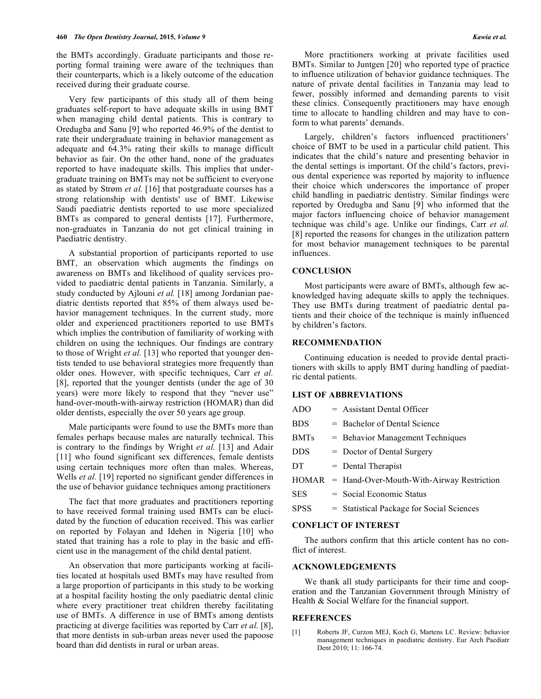the BMTs accordingly. Graduate participants and those reporting formal training were aware of the techniques than their counterparts, which is a likely outcome of the education received during their graduate course.

Very few participants of this study all of them being graduates self-report to have adequate skills in using BMT when managing child dental patients. This is contrary to Oredugba and Sanu [9] who reported 46.9% of the dentist to rate their undergraduate training in behavior management as adequate and 64.3% rating their skills to manage difficult behavior as fair. On the other hand, none of the graduates reported to have inadequate skills. This implies that undergraduate training on BMTs may not be sufficient to everyone as stated by Strøm *et al.* [16] that postgraduate courses has a strong relationship with dentists' use of BMT. Likewise Saudi paediatric dentists reported to use more specialized BMTs as compared to general dentists [17]. Furthermore, non-graduates in Tanzania do not get clinical training in Paediatric dentistry.

A substantial proportion of participants reported to use BMT, an observation which augments the findings on awareness on BMTs and likelihood of quality services provided to paediatric dental patients in Tanzania. Similarly, a study conducted by Ajlouni *et al.* [18] among Jordanian paediatric dentists reported that 85% of them always used behavior management techniques. In the current study, more older and experienced practitioners reported to use BMTs which implies the contribution of familiarity of working with children on using the techniques. Our findings are contrary to those of Wright *et al.* [13] who reported that younger dentists tended to use behavioral strategies more frequently than older ones. However, with specific techniques, Carr *et al.* [8], reported that the younger dentists (under the age of 30 years) were more likely to respond that they "never use" hand-over-mouth-with-airway restriction (HOMAR) than did older dentists, especially the over 50 years age group.

Male participants were found to use the BMTs more than females perhaps because males are naturally technical. This is contrary to the findings by Wright *et al.* [13] and Adair [11] who found significant sex differences, female dentists using certain techniques more often than males. Whereas, Wells *et al.* [19] reported no significant gender differences in the use of behavior guidance techniques among practitioners

The fact that more graduates and practitioners reporting to have received formal training used BMTs can be elucidated by the function of education received. This was earlier on reported by Folayan and Idehen in Nigeria [10] who stated that training has a role to play in the basic and efficient use in the management of the child dental patient.

An observation that more participants working at facilities located at hospitals used BMTs may have resulted from a large proportion of participants in this study to be working at a hospital facility hosting the only paediatric dental clinic where every practitioner treat children thereby facilitating use of BMTs. A difference in use of BMTs among dentists practicing at diverge facilities was reported by Carr *et al.* [8], that more dentists in sub-urban areas never used the papoose board than did dentists in rural or urban areas.

More practitioners working at private facilities used BMTs. Similar to Juntgen [20] who reported type of practice to influence utilization of behavior guidance techniques. The nature of private dental facilities in Tanzania may lead to fewer, possibly informed and demanding parents to visit these clinics. Consequently practitioners may have enough time to allocate to handling children and may have to conform to what parents' demands.

Largely, children's factors influenced practitioners' choice of BMT to be used in a particular child patient. This indicates that the child's nature and presenting behavior in the dental settings is important. Of the child's factors, previous dental experience was reported by majority to influence their choice which underscores the importance of proper child handling in paediatric dentistry. Similar findings were reported by Oredugba and Sanu [9] who informed that the major factors influencing choice of behavior management technique was child's age. Unlike our findings, Carr *et al.*  [8] reported the reasons for changes in the utilization pattern for most behavior management techniques to be parental influences.

#### **CONCLUSION**

Most participants were aware of BMTs, although few acknowledged having adequate skills to apply the techniques. They use BMTs during treatment of paediatric dental patients and their choice of the technique is mainly influenced by children's factors.

#### **RECOMMENDATION**

Continuing education is needed to provide dental practitioners with skills to apply BMT during handling of paediatric dental patients.

#### **LIST OF ABBREVIATIONS**

| <b>ADO</b>  | $=$ Assistant Dental Officer                      |
|-------------|---------------------------------------------------|
| <b>BDS</b>  | $=$ Bachelor of Dental Science                    |
| <b>BMTs</b> | = Behavior Management Techniques                  |
| <b>DDS</b>  | $=$ Doctor of Dental Surgery                      |
| DT          | $=$ Dental Therapist                              |
|             | $HOMAR$ = Hand-Over-Mouth-With-Airway Restriction |
| <b>SES</b>  | $=$ Social Economic Status                        |
| <b>SPSS</b> | = Statistical Package for Social Sciences         |
|             |                                                   |

## **CONFLICT OF INTEREST**

The authors confirm that this article content has no conflict of interest.

## **ACKNOWLEDGEMENTS**

We thank all study participants for their time and cooperation and the Tanzanian Government through Ministry of Health & Social Welfare for the financial support.

#### **REFERENCES**

[1] Roberts JF, Curzon MEJ, Koch G, Martens LC. Review: behavior management techniques in paediatric dentistry. Eur Arch Paediatr Dent 2010; 11: 166-74.